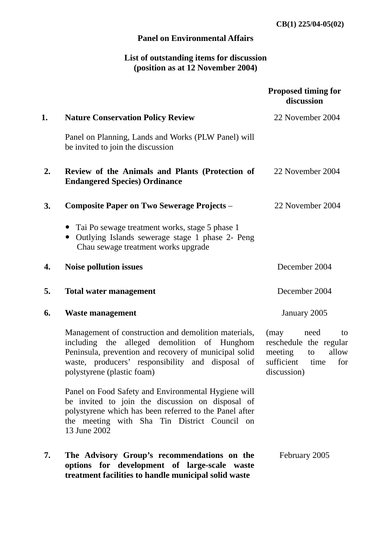**CB(1) 225/04-05(02)**

## **Panel on Environmental Affairs**

## **List of outstanding items for discussion (position as at 12 November 2004)**

|    |                                                                                                                                                                                                                                                | <b>Proposed timing for</b><br>discussion                                                                        |
|----|------------------------------------------------------------------------------------------------------------------------------------------------------------------------------------------------------------------------------------------------|-----------------------------------------------------------------------------------------------------------------|
| 1. | <b>Nature Conservation Policy Review</b>                                                                                                                                                                                                       | 22 November 2004                                                                                                |
|    | Panel on Planning, Lands and Works (PLW Panel) will<br>be invited to join the discussion                                                                                                                                                       |                                                                                                                 |
| 2. | Review of the Animals and Plants (Protection of<br><b>Endangered Species) Ordinance</b>                                                                                                                                                        | 22 November 2004                                                                                                |
| 3. | <b>Composite Paper on Two Sewerage Projects –</b>                                                                                                                                                                                              | 22 November 2004                                                                                                |
|    | Tai Po sewage treatment works, stage 5 phase 1<br>Outlying Islands sewerage stage 1 phase 2- Peng<br>$\bullet$<br>Chau sewage treatment works upgrade                                                                                          |                                                                                                                 |
| 4. | <b>Noise pollution issues</b>                                                                                                                                                                                                                  | December 2004                                                                                                   |
| 5. | <b>Total water management</b>                                                                                                                                                                                                                  | December 2004                                                                                                   |
| 6. | <b>Waste management</b>                                                                                                                                                                                                                        | January 2005                                                                                                    |
|    | Management of construction and demolition materials,<br>including the alleged demolition of Hunghom<br>Peninsula, prevention and recovery of municipal solid<br>waste, producers' responsibility and disposal of<br>polystyrene (plastic foam) | (may<br>need<br>to<br>reschedule the regular<br>allow<br>meeting<br>to<br>sufficient time<br>for<br>discussion) |
|    | Panel on Food Safety and Environmental Hygiene will<br>be invited to join the discussion on disposal of<br>polystyrene which has been referred to the Panel after<br>the meeting with Sha Tin District Council on<br>13 June 2002              |                                                                                                                 |
| 7. | The Advisory Group's recommendations on the<br>options for development of large-scale waste<br>treatment facilities to handle municipal solid waste                                                                                            | February 2005                                                                                                   |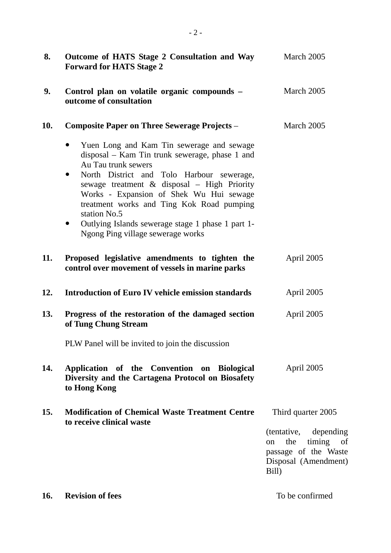| 8.         | Outcome of HATS Stage 2 Consultation and Way<br><b>Forward for HATS Stage 2</b>                                                                                                                                                                                                                                                                                                                                                                         | March 2005                                                                                                   |
|------------|---------------------------------------------------------------------------------------------------------------------------------------------------------------------------------------------------------------------------------------------------------------------------------------------------------------------------------------------------------------------------------------------------------------------------------------------------------|--------------------------------------------------------------------------------------------------------------|
| 9.         | Control plan on volatile organic compounds -<br>outcome of consultation                                                                                                                                                                                                                                                                                                                                                                                 | March 2005                                                                                                   |
| 10.        | <b>Composite Paper on Three Sewerage Projects -</b>                                                                                                                                                                                                                                                                                                                                                                                                     | March 2005                                                                                                   |
|            | Yuen Long and Kam Tin sewerage and sewage<br>$\bullet$<br>disposal – Kam Tin trunk sewerage, phase 1 and<br>Au Tau trunk sewers<br>North District and Tolo Harbour sewerage,<br>$\bullet$<br>sewage treatment & disposal - High Priority<br>Works - Expansion of Shek Wu Hui sewage<br>treatment works and Ting Kok Road pumping<br>station No.5<br>Outlying Islands sewerage stage 1 phase 1 part 1-<br>$\bullet$<br>Ngong Ping village sewerage works |                                                                                                              |
| 11.        | Proposed legislative amendments to tighten the<br>control over movement of vessels in marine parks                                                                                                                                                                                                                                                                                                                                                      | April 2005                                                                                                   |
| 12.        | <b>Introduction of Euro IV vehicle emission standards</b>                                                                                                                                                                                                                                                                                                                                                                                               | April 2005                                                                                                   |
| 13.        | Progress of the restoration of the damaged section<br>of Tung Chung Stream                                                                                                                                                                                                                                                                                                                                                                              | April 2005                                                                                                   |
|            | PLW Panel will be invited to join the discussion                                                                                                                                                                                                                                                                                                                                                                                                        |                                                                                                              |
| 14.        | Application of the Convention on Biological<br>Diversity and the Cartagena Protocol on Biosafety<br>to Hong Kong                                                                                                                                                                                                                                                                                                                                        | April 2005                                                                                                   |
| 15.        | <b>Modification of Chemical Waste Treatment Centre</b><br>to receive clinical waste                                                                                                                                                                                                                                                                                                                                                                     | Third quarter 2005                                                                                           |
|            |                                                                                                                                                                                                                                                                                                                                                                                                                                                         | (tentative, depending)<br>the<br>timing<br>of<br>on<br>passage of the Waste<br>Disposal (Amendment)<br>Bill) |
| <b>16.</b> | <b>Revision of fees</b>                                                                                                                                                                                                                                                                                                                                                                                                                                 | To be confirmed                                                                                              |